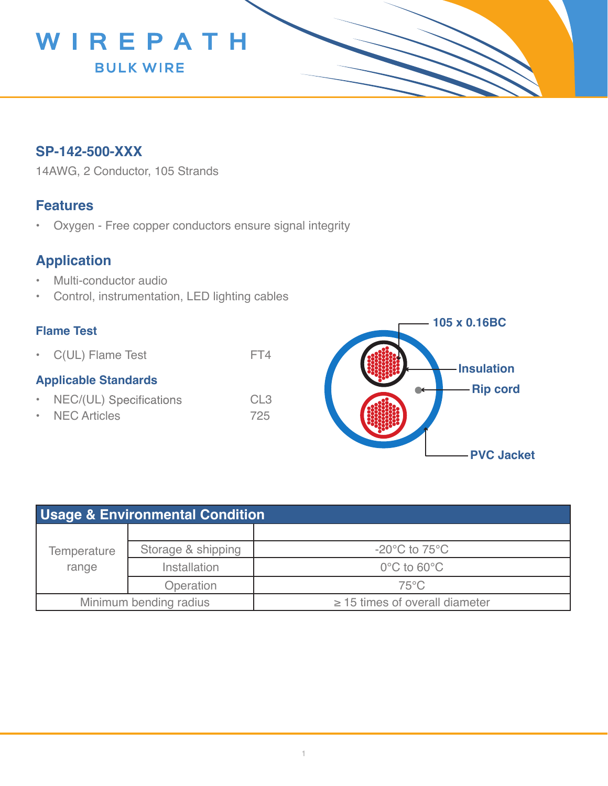

## **SP-142-500-XXX**

14AWG, 2 Conductor, 105 Strands

### **Features**

• Oxygen - Free copper conductors ensure signal integrity

# **Application**

- Multi-conductor audio
- Control, instrumentation, LED lighting cables

#### **Flame Test**

• C(UL) Flame Test FT4

#### **Applicable Standards**

- NEC/(UL) Specifications CL3
- NEC Articles 725



| Usage & Environmental Condition |                     |                                     |  |  |
|---------------------------------|---------------------|-------------------------------------|--|--|
| Temperature<br>range            |                     |                                     |  |  |
|                                 | Storage & shipping  | $-20^{\circ}$ C to 75 $^{\circ}$ C  |  |  |
|                                 | <b>Installation</b> | $0^{\circ}$ C to 60 $^{\circ}$ C    |  |  |
|                                 | Operation           | $75^{\circ}$ C                      |  |  |
| Minimum bending radius          |                     | $\geq$ 15 times of overall diameter |  |  |